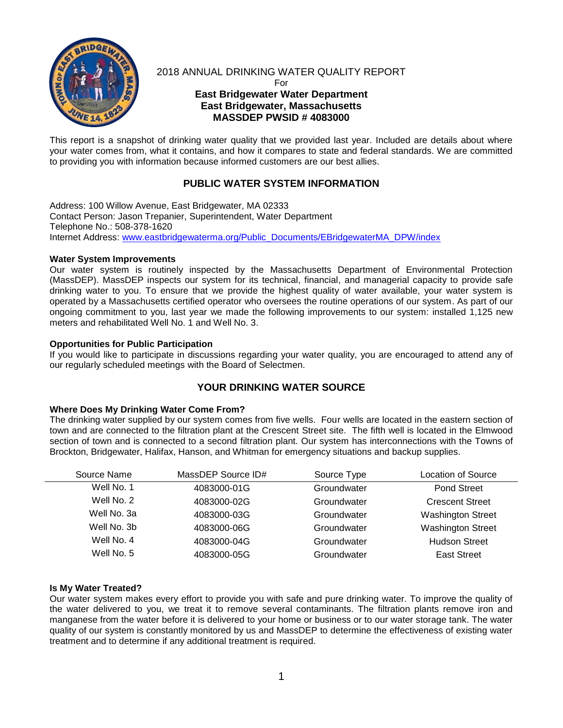

2018 ANNUAL DRINKING WATER QUALITY REPORT

For

# **East Bridgewater Water Department East Bridgewater, Massachusetts MASSDEP PWSID # 4083000**

This report is a snapshot of drinking water quality that we provided last year. Included are details about where your water comes from, what it contains, and how it compares to state and federal standards. We are committed to providing you with information because informed customers are our best allies.

# **PUBLIC WATER SYSTEM INFORMATION**

Address: 100 Willow Avenue, East Bridgewater, MA 02333 Contact Person: Jason Trepanier, Superintendent, Water Department Telephone No.: 508-378-1620 Internet Address: [www.eastbridgewaterma.org/Public\\_Documents/EBridgewaterMA\\_DPW/index](http://www.eastbridgewaterma.org/Public_Documents/EBridgewaterMA_DPW/index)

### **Water System Improvements**

Our water system is routinely inspected by the Massachusetts Department of Environmental Protection (MassDEP). MassDEP inspects our system for its technical, financial, and managerial capacity to provide safe drinking water to you. To ensure that we provide the highest quality of water available, your water system is operated by a Massachusetts certified operator who oversees the routine operations of our system. As part of our ongoing commitment to you, last year we made the following improvements to our system: installed 1,125 new meters and rehabilitated Well No. 1 and Well No. 3.

### **Opportunities for Public Participation**

If you would like to participate in discussions regarding your water quality, you are encouraged to attend any of our regularly scheduled meetings with the Board of Selectmen.

# **YOUR DRINKING WATER SOURCE**

### **Where Does My Drinking Water Come From?**

The drinking water supplied by our system comes from five wells. Four wells are located in the eastern section of town and are connected to the filtration plant at the Crescent Street site. The fifth well is located in the Elmwood section of town and is connected to a second filtration plant. Our system has interconnections with the Towns of Brockton, Bridgewater, Halifax, Hanson, and Whitman for emergency situations and backup supplies.

| Source Name | MassDEP Source ID# | Source Type | Location of Source       |  |
|-------------|--------------------|-------------|--------------------------|--|
| Well No. 1  | 4083000-01G        | Groundwater | <b>Pond Street</b>       |  |
| Well No. 2  | 4083000-02G        | Groundwater | <b>Crescent Street</b>   |  |
| Well No. 3a | 4083000-03G        | Groundwater | <b>Washington Street</b> |  |
| Well No. 3b | 4083000-06G        | Groundwater | <b>Washington Street</b> |  |
| Well No. 4  | 4083000-04G        | Groundwater | <b>Hudson Street</b>     |  |
| Well No. 5  | 4083000-05G        | Groundwater | <b>East Street</b>       |  |

### **Is My Water Treated?**

Our water system makes every effort to provide you with safe and pure drinking water. To improve the quality of the water delivered to you, we treat it to remove several contaminants. The filtration plants remove iron and manganese from the water before it is delivered to your home or business or to our water storage tank. The water quality of our system is constantly monitored by us and MassDEP to determine the effectiveness of existing water treatment and to determine if any additional treatment is required.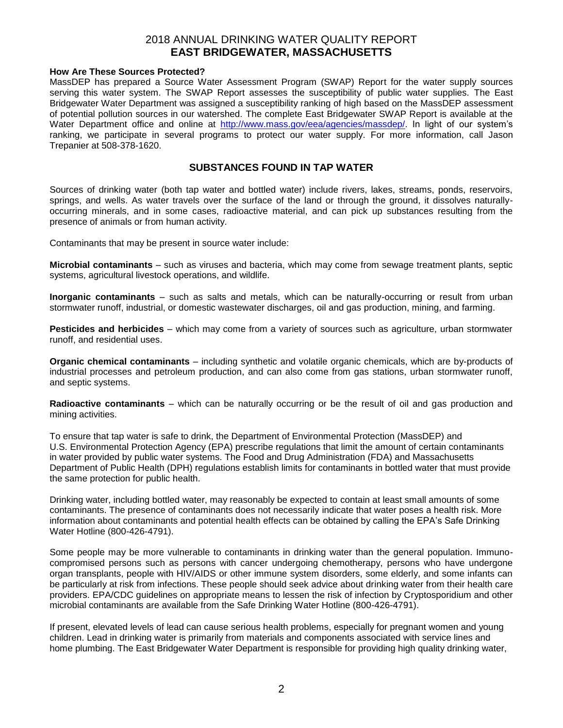### **How Are These Sources Protected?**

MassDEP has prepared a Source Water Assessment Program (SWAP) Report for the water supply sources serving this water system. The SWAP Report assesses the susceptibility of public water supplies. The East Bridgewater Water Department was assigned a susceptibility ranking of high based on the MassDEP assessment of potential pollution sources in our watershed. The complete East Bridgewater SWAP Report is available at the Water Department office and online at [http://www.mass.gov/eea/agencies/massdep/.](http://www.mass.gov/eea/agencies/massdep/) In light of our system's ranking, we participate in several programs to protect our water supply. For more information, call Jason Trepanier at 508-378-1620.

### **SUBSTANCES FOUND IN TAP WATER**

Sources of drinking water (both tap water and bottled water) include rivers, lakes, streams, ponds, reservoirs, springs, and wells. As water travels over the surface of the land or through the ground, it dissolves naturallyoccurring minerals, and in some cases, radioactive material, and can pick up substances resulting from the presence of animals or from human activity.

Contaminants that may be present in source water include:

**Microbial contaminants** – such as viruses and bacteria, which may come from sewage treatment plants, septic systems, agricultural livestock operations, and wildlife.

**Inorganic contaminants** – such as salts and metals, which can be naturally-occurring or result from urban stormwater runoff, industrial, or domestic wastewater discharges, oil and gas production, mining, and farming.

**Pesticides and herbicides** – which may come from a variety of sources such as agriculture, urban stormwater runoff, and residential uses.

**Organic chemical contaminants** – including synthetic and volatile organic chemicals, which are by-products of industrial processes and petroleum production, and can also come from gas stations, urban stormwater runoff, and septic systems.

**Radioactive contaminants** – which can be naturally occurring or be the result of oil and gas production and mining activities.

To ensure that tap water is safe to drink, the Department of Environmental Protection (MassDEP) and U.S. Environmental Protection Agency (EPA) prescribe regulations that limit the amount of certain contaminants in water provided by public water systems. The Food and Drug Administration (FDA) and Massachusetts Department of Public Health (DPH) regulations establish limits for contaminants in bottled water that must provide the same protection for public health.

Drinking water, including bottled water, may reasonably be expected to contain at least small amounts of some contaminants. The presence of contaminants does not necessarily indicate that water poses a health risk. More information about contaminants and potential health effects can be obtained by calling the EPA's Safe Drinking Water Hotline (800-426-4791).

Some people may be more vulnerable to contaminants in drinking water than the general population. Immunocompromised persons such as persons with cancer undergoing chemotherapy, persons who have undergone organ transplants, people with HIV/AIDS or other immune system disorders, some elderly, and some infants can be particularly at risk from infections. These people should seek advice about drinking water from their health care providers. EPA/CDC guidelines on appropriate means to lessen the risk of infection by Cryptosporidium and other microbial contaminants are available from the Safe Drinking Water Hotline (800-426-4791).

If present, elevated levels of lead can cause serious health problems, especially for pregnant women and young children. Lead in drinking water is primarily from materials and components associated with service lines and home plumbing. The East Bridgewater Water Department is responsible for providing high quality drinking water,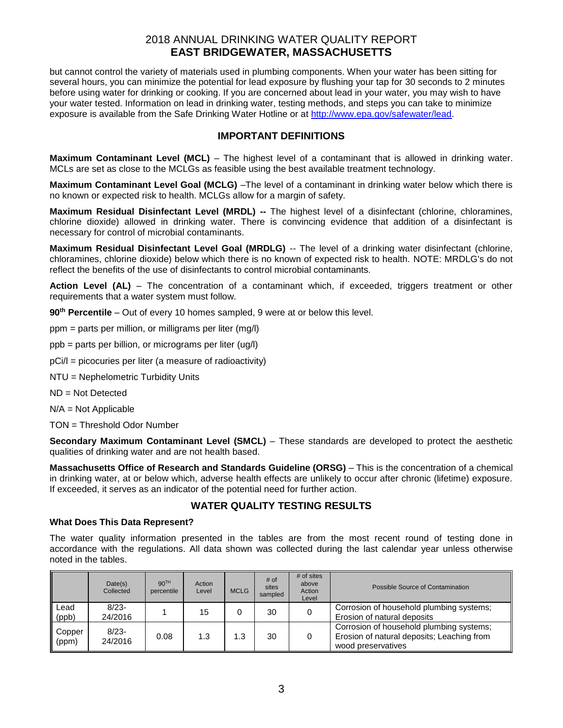but cannot control the variety of materials used in plumbing components. When your water has been sitting for several hours, you can minimize the potential for lead exposure by flushing your tap for 30 seconds to 2 minutes before using water for drinking or cooking. If you are concerned about lead in your water, you may wish to have your water tested. Information on lead in drinking water, testing methods, and steps you can take to minimize exposure is available from the Safe Drinking Water Hotline or at [http://www.epa.gov/safewater/lead.](http://www.epa.gov/safewater/lead)

# **IMPORTANT DEFINITIONS**

**Maximum Contaminant Level (MCL)** – The highest level of a contaminant that is allowed in drinking water. MCLs are set as close to the MCLGs as feasible using the best available treatment technology.

**Maximum Contaminant Level Goal (MCLG)** –The level of a contaminant in drinking water below which there is no known or expected risk to health. MCLGs allow for a margin of safety.

**Maximum Residual Disinfectant Level (MRDL) --** The highest level of a disinfectant (chlorine, chloramines, chlorine dioxide) allowed in drinking water. There is convincing evidence that addition of a disinfectant is necessary for control of microbial contaminants.

**Maximum Residual Disinfectant Level Goal (MRDLG)** -- The level of a drinking water disinfectant (chlorine, chloramines, chlorine dioxide) below which there is no known of expected risk to health. NOTE: MRDLG's do not reflect the benefits of the use of disinfectants to control microbial contaminants.

Action Level (AL) – The concentration of a contaminant which, if exceeded, triggers treatment or other requirements that a water system must follow.

**90th Percentile** – Out of every 10 homes sampled, 9 were at or below this level.

ppm = parts per million, or milligrams per liter (mg/l)

ppb = parts per billion, or micrograms per liter (ug/l)

- pCi/l = picocuries per liter (a measure of radioactivity)
- NTU = Nephelometric Turbidity Units
- ND = Not Detected
- N/A = Not Applicable

TON = Threshold Odor Number

**Secondary Maximum Contaminant Level (SMCL)** – These standards are developed to protect the aesthetic qualities of drinking water and are not health based.

**Massachusetts Office of Research and Standards Guideline (ORSG)** – This is the concentration of a chemical in drinking water, at or below which, adverse health effects are unlikely to occur after chronic (lifetime) exposure. If exceeded, it serves as an indicator of the potential need for further action.

## **WATER QUALITY TESTING RESULTS**

#### **What Does This Data Represent?**

The water quality information presented in the tables are from the most recent round of testing done in accordance with the regulations. All data shown was collected during the last calendar year unless otherwise noted in the tables.

|                 | Date(s)<br>Collected | 90 <sup>TH</sup><br>percentile | Action<br>Level | <b>MCLG</b> | # of<br>sites<br>sampled | $#$ of sites<br>above<br>Action<br>Level | Possible Source of Contamination                                                                             |
|-----------------|----------------------|--------------------------------|-----------------|-------------|--------------------------|------------------------------------------|--------------------------------------------------------------------------------------------------------------|
| Lead<br>(ppb)   | $8/23 -$<br>24/2016  |                                | 15              |             | 30                       |                                          | Corrosion of household plumbing systems;<br>Erosion of natural deposits                                      |
| Copper<br>(ppm) | $8/23 -$<br>24/2016  | 0.08                           | 1.3             | 1.3         | 30                       |                                          | Corrosion of household plumbing systems;<br>Erosion of natural deposits; Leaching from<br>wood preservatives |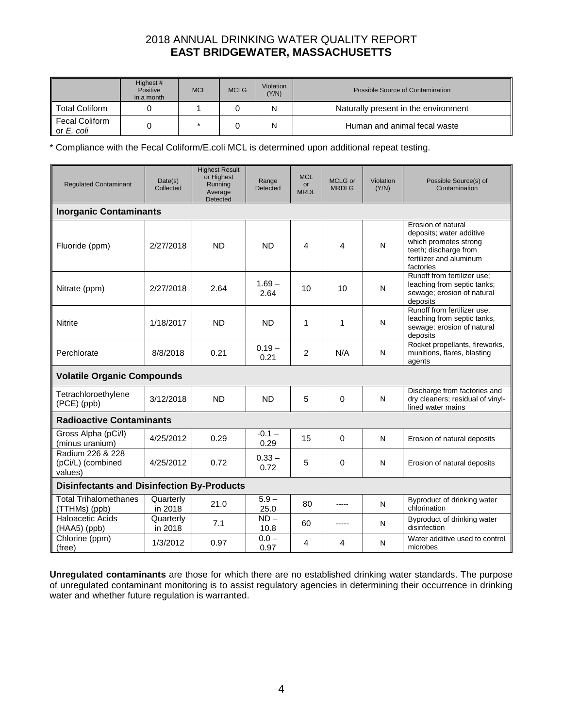|                                 | Highest #<br>Positive<br>in a month | <b>MCL</b> | <b>MCLG</b> | Violation<br>(Y/N) | Possible Source of Contamination     |
|---------------------------------|-------------------------------------|------------|-------------|--------------------|--------------------------------------|
| <b>Total Coliform</b>           |                                     |            |             | Ν                  | Naturally present in the environment |
| Fecal Coliform<br>or $E$ . coli |                                     |            |             | N                  | Human and animal fecal waste         |

\* Compliance with the Fecal Coliform/E.coli MCL is determined upon additional repeat testing.

| <b>Regulated Contaminant</b>                      | Date(s)<br>Collected          | <b>Highest Result</b><br>or Highest<br>Running<br>Average<br>Detected | Range<br><b>Detected</b> | <b>MCL</b><br>or<br><b>MRDL</b> | MCLG or<br><b>MRDLG</b> | Violation<br>(Y/N) | Possible Source(s) of<br>Contamination                                                                                                   |  |  |  |
|---------------------------------------------------|-------------------------------|-----------------------------------------------------------------------|--------------------------|---------------------------------|-------------------------|--------------------|------------------------------------------------------------------------------------------------------------------------------------------|--|--|--|
|                                                   | <b>Inorganic Contaminants</b> |                                                                       |                          |                                 |                         |                    |                                                                                                                                          |  |  |  |
| Fluoride (ppm)                                    | 2/27/2018                     | <b>ND</b>                                                             | <b>ND</b>                | 4                               | 4                       | N                  | Erosion of natural<br>deposits; water additive<br>which promotes strong<br>teeth; discharge from<br>fertilizer and aluminum<br>factories |  |  |  |
| Nitrate (ppm)                                     | 2/27/2018                     | 2.64                                                                  | $1.69 -$<br>2.64         | 10                              | 10                      | N                  | Runoff from fertilizer use;<br>leaching from septic tanks;<br>sewage; erosion of natural<br>deposits                                     |  |  |  |
| <b>Nitrite</b>                                    | 1/18/2017                     | <b>ND</b>                                                             | <b>ND</b>                | 1                               | 1                       | N                  | Runoff from fertilizer use;<br>leaching from septic tanks,<br>sewage; erosion of natural<br>deposits                                     |  |  |  |
| Perchlorate                                       | 8/8/2018                      | 0.21                                                                  | $0.19 -$<br>0.21         | 2                               | N/A                     | N                  | Rocket propellants, fireworks,<br>munitions, flares, blasting<br>agents                                                                  |  |  |  |
| <b>Volatile Organic Compounds</b>                 |                               |                                                                       |                          |                                 |                         |                    |                                                                                                                                          |  |  |  |
| Tetrachloroethylene<br>(PCE) (ppb)                | 3/12/2018                     | <b>ND</b>                                                             | <b>ND</b>                | 5                               | $\Omega$                | N                  | Discharge from factories and<br>dry cleaners; residual of vinyl-<br>lined water mains                                                    |  |  |  |
| <b>Radioactive Contaminants</b>                   |                               |                                                                       |                          |                                 |                         |                    |                                                                                                                                          |  |  |  |
| Gross Alpha (pCi/l)<br>(minus uranium)            | 4/25/2012                     | 0.29                                                                  | $-0.1 -$<br>0.29         | 15                              | $\Omega$                | N                  | Erosion of natural deposits                                                                                                              |  |  |  |
| Radium 226 & 228<br>(pCi/L) (combined<br>values)  | 4/25/2012                     | 0.72                                                                  | $0.33 -$<br>0.72         | 5                               | $\mathbf 0$             | N                  | Erosion of natural deposits                                                                                                              |  |  |  |
| <b>Disinfectants and Disinfection By-Products</b> |                               |                                                                       |                          |                                 |                         |                    |                                                                                                                                          |  |  |  |
| <b>Total Trihalomethanes</b><br>(TTHMs) (ppb)     | Quarterly<br>in 2018          | 21.0                                                                  | $5.9 -$<br>25.0          | 80                              |                         | N                  | Byproduct of drinking water<br>chlorination                                                                                              |  |  |  |
| <b>Haloacetic Acids</b><br>(HAA5) (ppb)           | Quarterly<br>in 2018          | 7.1                                                                   | $ND -$<br>10.8           | 60                              | -----                   | N                  | Byproduct of drinking water<br>disinfection                                                                                              |  |  |  |
| Chlorine (ppm)<br>(free)                          | 1/3/2012                      | 0.97                                                                  | $0.0 -$<br>0.97          | 4                               | 4                       | N                  | Water additive used to control<br>microbes                                                                                               |  |  |  |

**Unregulated contaminants** are those for which there are no established drinking water standards. The purpose of unregulated contaminant monitoring is to assist regulatory agencies in determining their occurrence in drinking water and whether future regulation is warranted.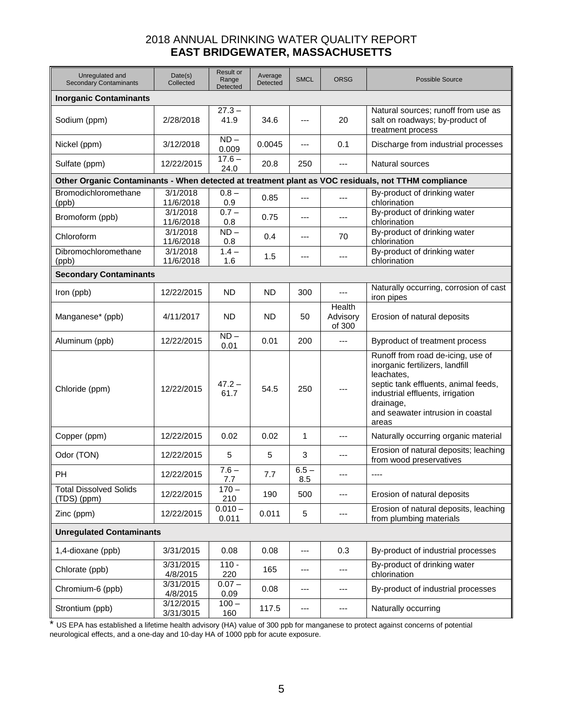| Unregulated and<br><b>Secondary Contaminants</b> | Date(s)<br>Collected   | Result or<br>Range<br>Detected | Average<br><b>Detected</b> | <b>SMCL</b>    | <b>ORSG</b>                  | Possible Source                                                                                                                                                                                                           |  |
|--------------------------------------------------|------------------------|--------------------------------|----------------------------|----------------|------------------------------|---------------------------------------------------------------------------------------------------------------------------------------------------------------------------------------------------------------------------|--|
| <b>Inorganic Contaminants</b>                    |                        |                                |                            |                |                              |                                                                                                                                                                                                                           |  |
| Sodium (ppm)                                     | 2/28/2018              | $27.3 -$<br>41.9               | 34.6                       | ---            | 20                           | Natural sources; runoff from use as<br>salt on roadways; by-product of<br>treatment process                                                                                                                               |  |
| Nickel (ppm)                                     | 3/12/2018              | $ND -$<br>0.009                | 0.0045                     | ---            | 0.1                          | Discharge from industrial processes                                                                                                                                                                                       |  |
| Sulfate (ppm)                                    | 12/22/2015             | $17.6 -$<br>24.0               | 20.8                       | 250            | ---                          | Natural sources                                                                                                                                                                                                           |  |
|                                                  |                        |                                |                            |                |                              | Other Organic Contaminants - When detected at treatment plant as VOC residuals, not TTHM compliance                                                                                                                       |  |
| Bromodichloromethane<br>(ppb)                    | 3/1/2018<br>11/6/2018  | $0.8 -$<br>0.9                 | 0.85                       | ---            | ---                          | By-product of drinking water<br>chlorination                                                                                                                                                                              |  |
| Bromoform (ppb)                                  | 3/1/2018<br>11/6/2018  | $0.7 -$<br>0.8                 | 0.75                       | ---            | ---                          | By-product of drinking water<br>chlorination                                                                                                                                                                              |  |
| Chloroform                                       | 3/1/2018<br>11/6/2018  | $ND -$<br>0.8                  | 0.4                        | ---            | 70                           | By-product of drinking water<br>chlorination                                                                                                                                                                              |  |
| Dibromochloromethane<br>(ppb)                    | 3/1/2018<br>11/6/2018  | $1.4 -$<br>1.6                 | 1.5                        | ---            | ---                          | By-product of drinking water<br>chlorination                                                                                                                                                                              |  |
| <b>Secondary Contaminants</b>                    |                        |                                |                            |                |                              |                                                                                                                                                                                                                           |  |
| Iron (ppb)                                       | 12/22/2015             | <b>ND</b>                      | <b>ND</b>                  | 300            | $\overline{a}$               | Naturally occurring, corrosion of cast<br>iron pipes                                                                                                                                                                      |  |
| Manganese* (ppb)                                 | 4/11/2017              | ND.                            | <b>ND</b>                  | 50             | Health<br>Advisory<br>of 300 | Erosion of natural deposits                                                                                                                                                                                               |  |
| Aluminum (ppb)                                   | 12/22/2015             | $ND -$<br>0.01                 | 0.01                       | 200            | ---                          | Byproduct of treatment process                                                                                                                                                                                            |  |
| Chloride (ppm)                                   | 12/22/2015             | $47.2 -$<br>61.7               | 54.5                       | 250            | ---                          | Runoff from road de-icing, use of<br>inorganic fertilizers, landfill<br>leachates,<br>septic tank effluents, animal feeds,<br>industrial effluents, irrigation<br>drainage,<br>and seawater intrusion in coastal<br>areas |  |
| Copper (ppm)                                     | 12/22/2015             | 0.02                           | 0.02                       | 1              | ---                          | Naturally occurring organic material                                                                                                                                                                                      |  |
| Odor (TON)                                       | 12/22/2015             | 5                              | 5                          | 3              | ---                          | Erosion of natural deposits; leaching<br>from wood preservatives                                                                                                                                                          |  |
| PН                                               | 12/22/2015             | $7.6 -$<br>7.7                 | 7.7                        | $6.5 -$<br>8.5 | ---                          | $---$                                                                                                                                                                                                                     |  |
| <b>Total Dissolved Solids</b><br>(TDS) (ppm)     | 12/22/2015             | $170 -$<br>210                 | 190                        | 500            | ---                          | Erosion of natural deposits                                                                                                                                                                                               |  |
| Zinc (ppm)                                       | 12/22/2015             | $0.010 -$<br>0.011             | 0.011                      | 5              | ---                          | Erosion of natural deposits, leaching<br>from plumbing materials                                                                                                                                                          |  |
| <b>Unregulated Contaminants</b>                  |                        |                                |                            |                |                              |                                                                                                                                                                                                                           |  |
| 1,4-dioxane (ppb)                                | 3/31/2015              | 0.08                           | 0.08                       | ---            | 0.3                          | By-product of industrial processes                                                                                                                                                                                        |  |
| Chlorate (ppb)                                   | 3/31/2015<br>4/8/2015  | $110 -$<br>220                 | 165                        | ---            | ---                          | By-product of drinking water<br>chlorination                                                                                                                                                                              |  |
| Chromium-6 (ppb)                                 | 3/31/2015<br>4/8/2015  | $0.07 -$<br>0.09               | 0.08                       | ---            | ---                          | By-product of industrial processes                                                                                                                                                                                        |  |
| Strontium (ppb)                                  | 3/12/2015<br>3/31/3015 | $100 -$<br>160                 | 117.5                      | ---            | ---                          | Naturally occurring                                                                                                                                                                                                       |  |

\* US EPA has established a lifetime health advisory (HA) value of 300 ppb for manganese to protect against concerns of potential neurological effects, and a one-day and 10-day HA of 1000 ppb for acute exposure.